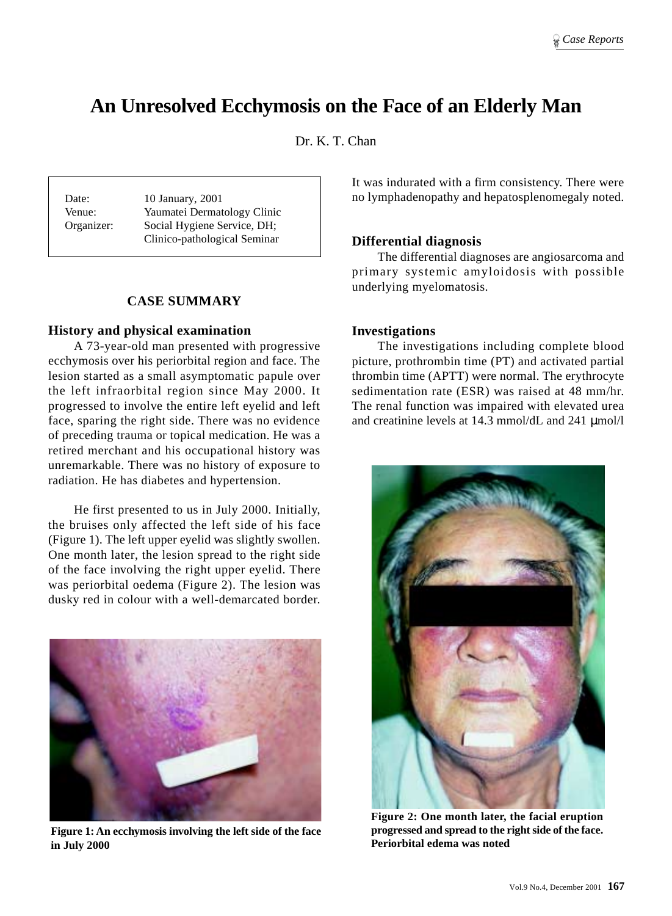# **An Unresolved Ecchymosis on the Face of an Elderly Man**

Dr. K. T. Chan

Date: 10 January, 2001 Venue: Yaumatei Dermatology Clinic Organizer: Social Hygiene Service, DH; Clinico-pathological Seminar

# **CASE SUMMARY**

#### **History and physical examination**

A 73-year-old man presented with progressive ecchymosis over his periorbital region and face. The lesion started as a small asymptomatic papule over the left infraorbital region since May 2000. It progressed to involve the entire left eyelid and left face, sparing the right side. There was no evidence of preceding trauma or topical medication. He was a retired merchant and his occupational history was unremarkable. There was no history of exposure to radiation. He has diabetes and hypertension.

He first presented to us in July 2000. Initially, the bruises only affected the left side of his face (Figure 1). The left upper eyelid was slightly swollen. One month later, the lesion spread to the right side of the face involving the right upper eyelid. There was periorbital oedema (Figure 2). The lesion was dusky red in colour with a well-demarcated border.



**Figure 1: An ecchymosis involving the left side of the face in July 2000**

It was indurated with a firm consistency. There were no lymphadenopathy and hepatosplenomegaly noted.

### **Differential diagnosis**

The differential diagnoses are angiosarcoma and primary systemic amyloidosis with possible underlying myelomatosis.

#### **Investigations**

The investigations including complete blood picture, prothrombin time (PT) and activated partial thrombin time (APTT) were normal. The erythrocyte sedimentation rate (ESR) was raised at 48 mm/hr. The renal function was impaired with elevated urea and creatinine levels at 14.3 mmol/dL and 241 µmol/l



**Figure 2: One month later, the facial eruption progressed and spread to the right side of the face. Periorbital edema was noted**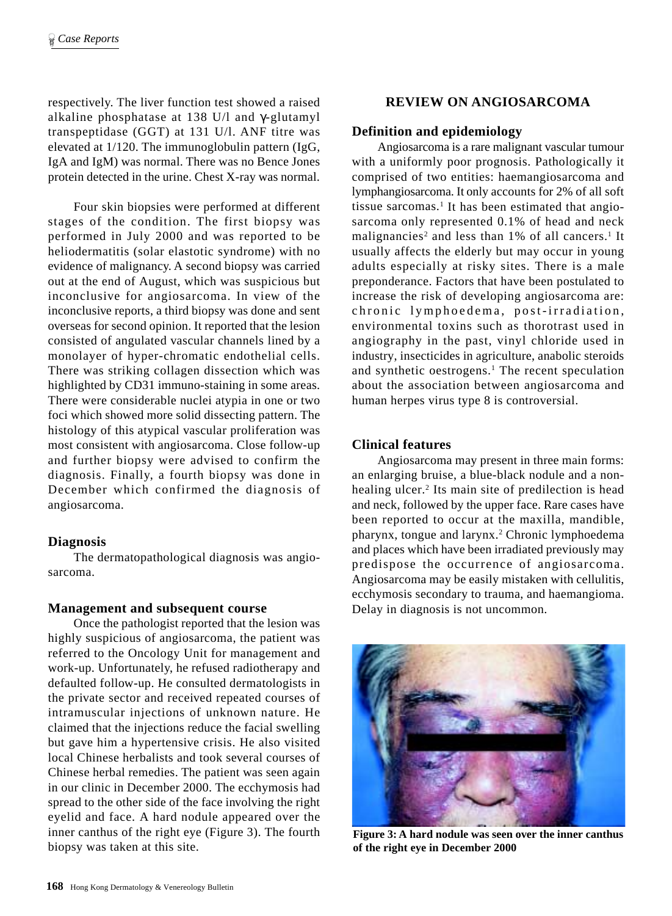respectively. The liver function test showed a raised alkaline phosphatase at 138 U/l and γ-glutamyl transpeptidase (GGT) at 131 U/l. ANF titre was elevated at 1/120. The immunoglobulin pattern (IgG, IgA and IgM) was normal. There was no Bence Jones protein detected in the urine. Chest X-ray was normal.

Four skin biopsies were performed at different stages of the condition. The first biopsy was performed in July 2000 and was reported to be heliodermatitis (solar elastotic syndrome) with no evidence of malignancy. A second biopsy was carried out at the end of August, which was suspicious but inconclusive for angiosarcoma. In view of the inconclusive reports, a third biopsy was done and sent overseas for second opinion. It reported that the lesion consisted of angulated vascular channels lined by a monolayer of hyper-chromatic endothelial cells. There was striking collagen dissection which was highlighted by CD31 immuno-staining in some areas. There were considerable nuclei atypia in one or two foci which showed more solid dissecting pattern. The histology of this atypical vascular proliferation was most consistent with angiosarcoma. Close follow-up and further biopsy were advised to confirm the diagnosis. Finally, a fourth biopsy was done in December which confirmed the diagnosis of angiosarcoma.

## **Diagnosis**

The dermatopathological diagnosis was angiosarcoma.

#### **Management and subsequent course**

Once the pathologist reported that the lesion was highly suspicious of angiosarcoma, the patient was referred to the Oncology Unit for management and work-up. Unfortunately, he refused radiotherapy and defaulted follow-up. He consulted dermatologists in the private sector and received repeated courses of intramuscular injections of unknown nature. He claimed that the injections reduce the facial swelling but gave him a hypertensive crisis. He also visited local Chinese herbalists and took several courses of Chinese herbal remedies. The patient was seen again in our clinic in December 2000. The ecchymosis had spread to the other side of the face involving the right eyelid and face. A hard nodule appeared over the inner canthus of the right eye (Figure 3). The fourth biopsy was taken at this site.

## **REVIEW ON ANGIOSARCOMA**

## **Definition and epidemiology**

Angiosarcoma is a rare malignant vascular tumour with a uniformly poor prognosis. Pathologically it comprised of two entities: haemangiosarcoma and lymphangiosarcoma. It only accounts for 2% of all soft tissue sarcomas.<sup>1</sup> It has been estimated that angiosarcoma only represented 0.1% of head and neck malignancies<sup>2</sup> and less than  $1\%$  of all cancers.<sup>1</sup> It usually affects the elderly but may occur in young adults especially at risky sites. There is a male preponderance. Factors that have been postulated to increase the risk of developing angiosarcoma are: chronic lymphoedema, post-irradiation, environmental toxins such as thorotrast used in angiography in the past, vinyl chloride used in industry, insecticides in agriculture, anabolic steroids and synthetic oestrogens.<sup>1</sup> The recent speculation about the association between angiosarcoma and human herpes virus type 8 is controversial.

# **Clinical features**

Angiosarcoma may present in three main forms: an enlarging bruise, a blue-black nodule and a nonhealing ulcer.<sup>2</sup> Its main site of predilection is head and neck, followed by the upper face. Rare cases have been reported to occur at the maxilla, mandible, pharynx, tongue and larynx.<sup>2</sup> Chronic lymphoedema and places which have been irradiated previously may predispose the occurrence of angiosarcoma. Angiosarcoma may be easily mistaken with cellulitis, ecchymosis secondary to trauma, and haemangioma. Delay in diagnosis is not uncommon.



**Figure 3: A hard nodule was seen over the inner canthus of the right eye in December 2000**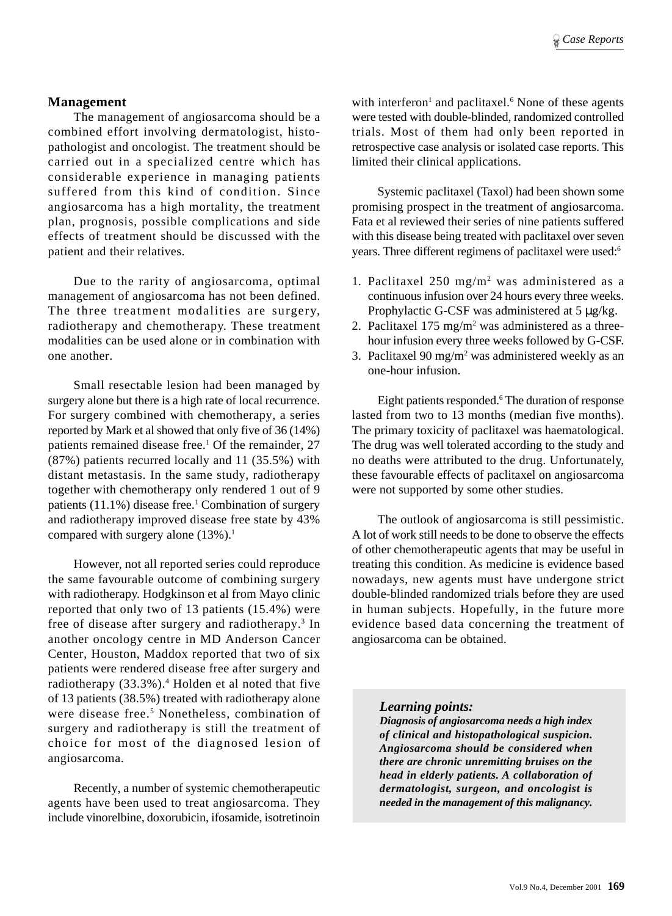#### **Management**

The management of angiosarcoma should be a combined effort involving dermatologist, histopathologist and oncologist. The treatment should be carried out in a specialized centre which has considerable experience in managing patients suffered from this kind of condition. Since angiosarcoma has a high mortality, the treatment plan, prognosis, possible complications and side effects of treatment should be discussed with the patient and their relatives.

Due to the rarity of angiosarcoma, optimal management of angiosarcoma has not been defined. The three treatment modalities are surgery, radiotherapy and chemotherapy. These treatment modalities can be used alone or in combination with one another.

Small resectable lesion had been managed by surgery alone but there is a high rate of local recurrence. For surgery combined with chemotherapy, a series reported by Mark et al showed that only five of 36 (14%) patients remained disease free.<sup>1</sup> Of the remainder, 27 (87%) patients recurred locally and 11 (35.5%) with distant metastasis. In the same study, radiotherapy together with chemotherapy only rendered 1 out of 9 patients (11.1%) disease free.<sup>1</sup> Combination of surgery and radiotherapy improved disease free state by 43% compared with surgery alone  $(13\%)$ .<sup>1</sup>

However, not all reported series could reproduce the same favourable outcome of combining surgery with radiotherapy. Hodgkinson et al from Mayo clinic reported that only two of 13 patients (15.4%) were free of disease after surgery and radiotherapy.<sup>3</sup> In another oncology centre in MD Anderson Cancer Center, Houston, Maddox reported that two of six patients were rendered disease free after surgery and radiotherapy (33.3%).4 Holden et al noted that five of 13 patients (38.5%) treated with radiotherapy alone were disease free.<sup>5</sup> Nonetheless, combination of surgery and radiotherapy is still the treatment of choice for most of the diagnosed lesion of angiosarcoma.

Recently, a number of systemic chemotherapeutic agents have been used to treat angiosarcoma. They include vinorelbine, doxorubicin, ifosamide, isotretinoin

with interferon<sup>1</sup> and paclitaxel.<sup>6</sup> None of these agents were tested with double-blinded, randomized controlled trials. Most of them had only been reported in retrospective case analysis or isolated case reports. This limited their clinical applications.

Systemic paclitaxel (Taxol) had been shown some promising prospect in the treatment of angiosarcoma. Fata et al reviewed their series of nine patients suffered with this disease being treated with paclitaxel over seven years. Three different regimens of paclitaxel were used:6

- 1. Paclitaxel 250 mg/m2 was administered as a continuous infusion over 24 hours every three weeks. Prophylactic G-CSF was administered at 5 µg/kg.
- 2. Paclitaxel  $175 \text{ mg/m}^2$  was administered as a threehour infusion every three weeks followed by G-CSF.
- 3. Paclitaxel  $90 \text{ mg/m}^2$  was administered weekly as an one-hour infusion.

Eight patients responded.<sup>6</sup> The duration of response lasted from two to 13 months (median five months). The primary toxicity of paclitaxel was haematological. The drug was well tolerated according to the study and no deaths were attributed to the drug. Unfortunately, these favourable effects of paclitaxel on angiosarcoma were not supported by some other studies.

The outlook of angiosarcoma is still pessimistic. A lot of work still needs to be done to observe the effects of other chemotherapeutic agents that may be useful in treating this condition. As medicine is evidence based nowadays, new agents must have undergone strict double-blinded randomized trials before they are used in human subjects. Hopefully, in the future more evidence based data concerning the treatment of angiosarcoma can be obtained.

#### *Learning points:*

*Diagnosis of angiosarcoma needs a high index of clinical and histopathological suspicion. Angiosarcoma should be considered when there are chronic unremitting bruises on the head in elderly patients. A collaboration of dermatologist, surgeon, and oncologist is needed in the management of this malignancy.*